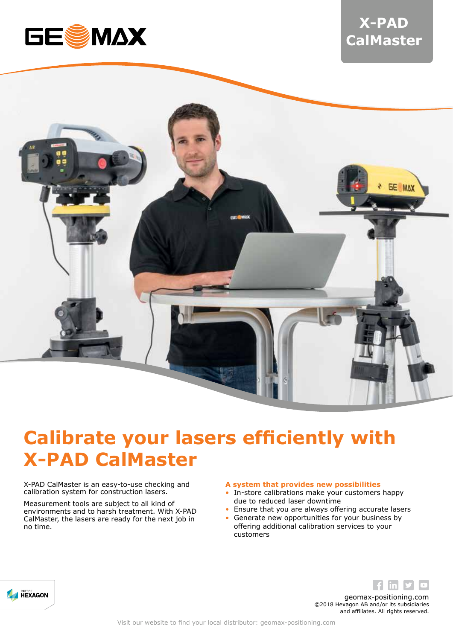

# **X-PAD CalMaster**



# **Calibrate your lasers efficiently with X-PAD CalMaster**

X-PAD CalMaster is an easy-to-use checking and calibration system for construction lasers.

Measurement tools are subject to all kind of environments and to harsh treatment. With X-PAD CalMaster, the lasers are ready for the next job in no time.

### **A system that provides new possibilities**

- In-store calibrations make your customers happy due to reduced laser downtime
- Ensure that you are always offering accurate lasers
- Generate new opportunities for your business by offering additional calibration services to your customers





geomax-positioning.com ©2018 Hexagon AB and/or its subsidiaries and affiliates. All rights reserved.